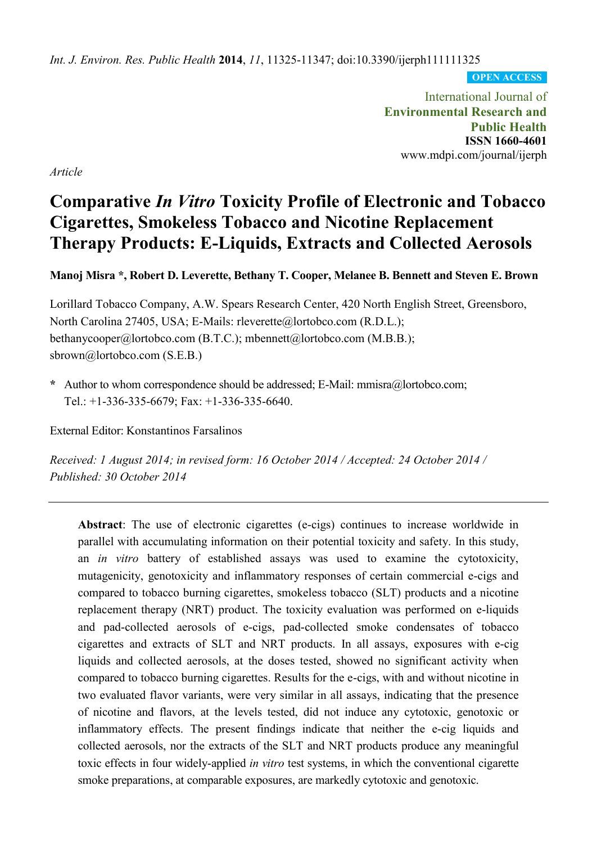*Int. J. Environ. Res. Public Health* **2014**, *11*, 11325-11347; doi:10.3390/ijerph111111325

**OPEN ACCESS**

International Journal of **Environmental Research and Public Health ISSN 1660-4601** www.mdpi.com/journal/ijerph

*Article*

# **Comparative** *In Vitro* **Toxicity Profile of Electronic and Tobacco Cigarettes, Smokeless Tobacco and Nicotine Replacement Therapy Products: E-Liquids, Extracts and Collected Aerosols**

**Manoj Misra \*, Robert D. Leverette, Bethany T. Cooper, Melanee B. Bennett and Steven E. Brown**

Lorillard Tobacco Company, A.W. Spears Research Center, 420 North English Street, Greensboro, North Carolina 27405, USA; E-Mails: rleverette@lortobco.com (R.D.L.); bethanycooper@lortobco.com (B.T.C.); mbennett@lortobco.com (M.B.B.); sbrown@lortobco.com (S.E.B.)

**\*** Author to whom correspondence should be addressed; E-Mail: mmisra@lortobco.com; Tel.:  $+1-336-335-6679$ ; Fax:  $+1-336-335-6640$ .

External Editor: Konstantinos Farsalinos

*Received: 1 August 2014; in revised form: 16 October 2014 / Accepted: 24 October 2014 / Published: 30 October 2014*

**Abstract**: The use of electronic cigarettes (e-cigs) continues to increase worldwide in parallel with accumulating information on their potential toxicity and safety. In this study, an *in vitro* battery of established assays was used to examine the cytotoxicity, mutagenicity, genotoxicity and inflammatory responses of certain commercial e-cigs and compared to tobacco burning cigarettes, smokeless tobacco (SLT) products and a nicotine replacement therapy (NRT) product. The toxicity evaluation was performed on e-liquids and pad-collected aerosols of e-cigs, pad-collected smoke condensates of tobacco cigarettes and extracts of SLT and NRT products. In all assays, exposures with e-cig liquids and collected aerosols, at the doses tested, showed no significant activity when compared to tobacco burning cigarettes. Results for the e-cigs, with and without nicotine in two evaluated flavor variants, were very similar in all assays, indicating that the presence of nicotine and flavors, at the levels tested, did not induce any cytotoxic, genotoxic or inflammatory effects. The present findings indicate that neither the e-cig liquids and collected aerosols, nor the extracts of the SLT and NRT products produce any meaningful toxic effects in four widely-applied *in vitro* test systems, in which the conventional cigarette smoke preparations, at comparable exposures, are markedly cytotoxic and genotoxic.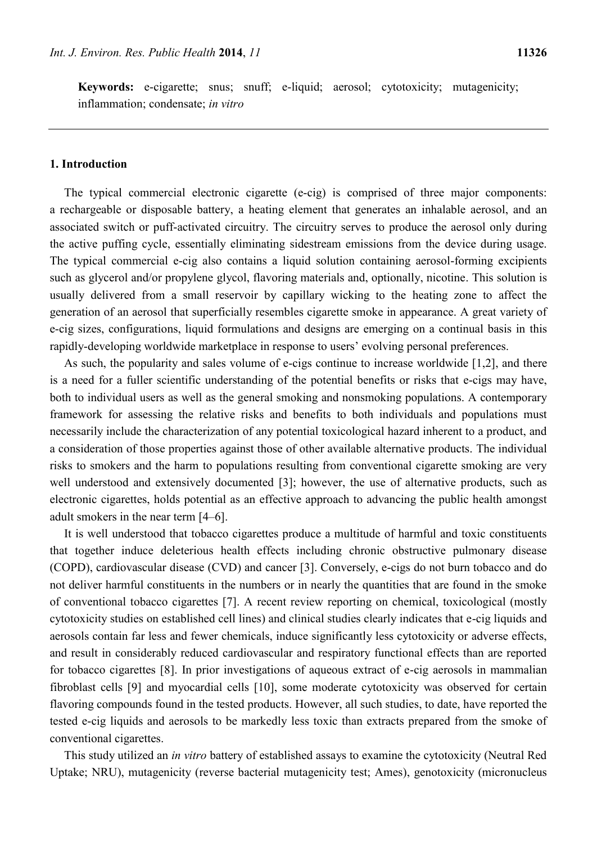**Keywords:** e-cigarette; snus; snuff; e-liquid; aerosol; cytotoxicity; mutagenicity; inflammation; condensate; *in vitro*

## **1. Introduction**

The typical commercial electronic cigarette (e-cig) is comprised of three major components: a rechargeable or disposable battery, a heating element that generates an inhalable aerosol, and an associated switch or puff-activated circuitry. The circuitry serves to produce the aerosol only during the active puffing cycle, essentially eliminating sidestream emissions from the device during usage. The typical commercial e-cig also contains a liquid solution containing aerosol-forming excipients such as glycerol and/or propylene glycol, flavoring materials and, optionally, nicotine. This solution is usually delivered from a small reservoir by capillary wicking to the heating zone to affect the generation of an aerosol that superficially resembles cigarette smoke in appearance. A great variety of e-cig sizes, configurations, liquid formulations and designs are emerging on a continual basis in this rapidly-developing worldwide marketplace in response to users' evolving personal preferences.

As such, the popularity and sales volume of e-cigs continue to increase worldwide [1,2], and there is a need for a fuller scientific understanding of the potential benefits or risks that e-cigs may have, both to individual users as well as the general smoking and nonsmoking populations. A contemporary framework for assessing the relative risks and benefits to both individuals and populations must necessarily include the characterization of any potential toxicological hazard inherent to a product, and a consideration of those properties against those of other available alternative products. The individual risks to smokers and the harm to populations resulting from conventional cigarette smoking are very well understood and extensively documented [3]; however, the use of alternative products, such as electronic cigarettes, holds potential as an effective approach to advancing the public health amongst adult smokers in the near term [4–6].

It is well understood that tobacco cigarettes produce a multitude of harmful and toxic constituents that together induce deleterious health effects including chronic obstructive pulmonary disease (COPD), cardiovascular disease (CVD) and cancer [3]. Conversely, e-cigs do not burn tobacco and do not deliver harmful constituents in the numbers or in nearly the quantities that are found in the smoke of conventional tobacco cigarettes [7]. A recent review reporting on chemical, toxicological (mostly cytotoxicity studies on established cell lines) and clinical studies clearly indicates that e-cig liquids and aerosols contain far less and fewer chemicals, induce significantly less cytotoxicity or adverse effects, and result in considerably reduced cardiovascular and respiratory functional effects than are reported for tobacco cigarettes [8]. In prior investigations of aqueous extract of e-cig aerosols in mammalian fibroblast cells [9] and myocardial cells [10], some moderate cytotoxicity was observed for certain flavoring compounds found in the tested products. However, all such studies, to date, have reported the tested e-cig liquids and aerosols to be markedly less toxic than extracts prepared from the smoke of conventional cigarettes.

This study utilized an *in vitro* battery of established assays to examine the cytotoxicity (Neutral Red Uptake; NRU), mutagenicity (reverse bacterial mutagenicity test; Ames), genotoxicity (micronucleus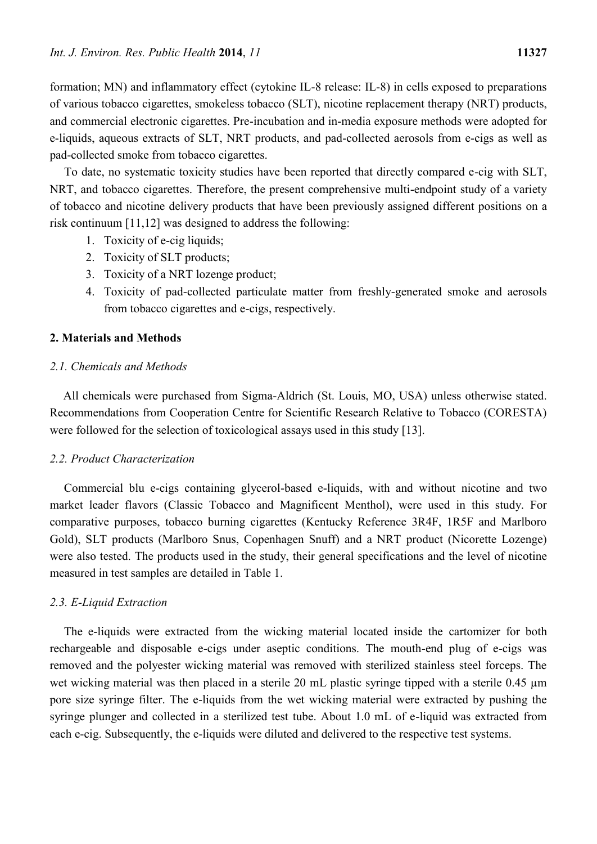formation; MN) and inflammatory effect (cytokine IL-8 release: IL-8) in cells exposed to preparations of various tobacco cigarettes, smokeless tobacco (SLT), nicotine replacement therapy (NRT) products, and commercial electronic cigarettes. Pre-incubation and in-media exposure methods were adopted for e-liquids, aqueous extracts of SLT, NRT products, and pad-collected aerosols from e-cigs as well as pad-collected smoke from tobacco cigarettes.

To date, no systematic toxicity studies have been reported that directly compared e-cig with SLT, NRT, and tobacco cigarettes. Therefore, the present comprehensive multi-endpoint study of a variety of tobacco and nicotine delivery products that have been previously assigned different positions on a risk continuum [11,12] was designed to address the following:

- 1. Toxicity of e-cig liquids;
- 2. Toxicity of SLT products;
- 3. Toxicity of a NRT lozenge product;
- 4. Toxicity of pad-collected particulate matter from freshly-generated smoke and aerosols from tobacco cigarettes and e-cigs, respectively.

# **2. Materials and Methods**

# *2.1. Chemicals and Methods*

All chemicals were purchased from Sigma-Aldrich (St. Louis, MO, USA) unless otherwise stated. Recommendations from Cooperation Centre for Scientific Research Relative to Tobacco (CORESTA) were followed for the selection of toxicological assays used in this study [13].

## *2.2. Product Characterization*

Commercial blu e-cigs containing glycerol-based e-liquids, with and without nicotine and two market leader flavors (Classic Tobacco and Magnificent Menthol), were used in this study. For comparative purposes, tobacco burning cigarettes (Kentucky Reference 3R4F, 1R5F and Marlboro Gold), SLT products (Marlboro Snus, Copenhagen Snuff) and a NRT product (Nicorette Lozenge) were also tested. The products used in the study, their general specifications and the level of nicotine measured in test samples are detailed in Table 1.

## *2.3. E-Liquid Extraction*

The e-liquids were extracted from the wicking material located inside the cartomizer for both rechargeable and disposable e-cigs under aseptic conditions. The mouth-end plug of e-cigs was removed and the polyester wicking material was removed with sterilized stainless steel forceps. The wet wicking material was then placed in a sterile 20 mL plastic syringe tipped with a sterile 0.45  $\mu$ m pore size syringe filter. The e-liquids from the wet wicking material were extracted by pushing the syringe plunger and collected in a sterilized test tube. About 1.0 mL of e-liquid was extracted from each e-cig. Subsequently, the e-liquids were diluted and delivered to the respective test systems.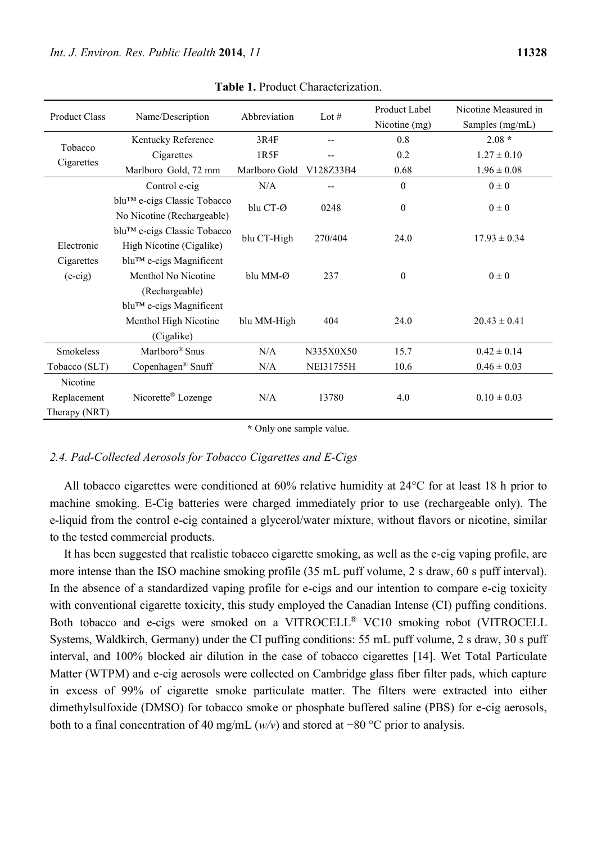| <b>Product Class</b>                     | Name/Description                                                 | Abbreviation          | Lot $#$          | Product Label<br>Nicotine (mg) | Nicotine Measured in<br>Samples (mg/mL) |
|------------------------------------------|------------------------------------------------------------------|-----------------------|------------------|--------------------------------|-----------------------------------------|
| Tobacco<br>Cigarettes                    | Kentucky Reference                                               | 3R4F                  |                  | 0.8                            | $2.08 *$                                |
|                                          | Cigarettes                                                       | 1R5F                  |                  | 0.2                            | $1.27 \pm 0.10$                         |
|                                          | Marlboro Gold, 72 mm                                             | Marlboro Gold         | V128Z33B4        | 0.68                           | $1.96 \pm 0.08$                         |
| Electronic<br>Cigarettes<br>$(e-cig)$    | Control e-cig                                                    | N/A                   |                  | $\theta$                       | $0\pm 0$                                |
|                                          | blu™ e-cigs Classic Tobacco<br>No Nicotine (Rechargeable)        | blu CT-Ø              | 0248             | $\boldsymbol{0}$               | $0\pm 0$                                |
|                                          | blu™ e-cigs Classic Tobacco<br>High Nicotine (Cigalike)          | blu CT-High           | 270/404          | 24.0                           | $17.93 \pm 0.34$                        |
|                                          | blu™ e-cigs Magnificent<br>Menthol No Nicotine<br>(Rechargeable) | blu MM- $\varnothing$ | 237              | $\boldsymbol{0}$               | $0\pm 0$                                |
|                                          | blu™ e-cigs Magnificent<br>Menthol High Nicotine<br>(Cigalike)   | blu MM-High           | 404              | 24.0                           | $20.43 \pm 0.41$                        |
| Smokeless                                | Marlboro <sup>®</sup> Snus                                       | N/A                   | N335X0X50        | 15.7                           | $0.42 \pm 0.14$                         |
| Tobacco (SLT)                            | Copenhagen <sup>®</sup> Snuff                                    | N/A                   | <b>NEI31755H</b> | 10.6                           | $0.46 \pm 0.03$                         |
| Nicotine<br>Replacement<br>Therapy (NRT) | Nicorette <sup>®</sup> Lozenge                                   | N/A                   | 13780            | 4.0                            | $0.10 \pm 0.03$                         |

**Table 1.** Product Characterization.

**\*** Only one sample value.

## *2.4. Pad-Collected Aerosols for Tobacco Cigarettes and E-Cigs*

All tobacco cigarettes were conditioned at 60% relative humidity at 24°C for at least 18 h prior to machine smoking. E-Cig batteries were charged immediately prior to use (rechargeable only). The e-liquid from the control e-cig contained a glycerol/water mixture, without flavors or nicotine, similar to the tested commercial products.

It has been suggested that realistic tobacco cigarette smoking, as well as the e-cig vaping profile, are more intense than the ISO machine smoking profile (35 mL puff volume, 2 s draw, 60 s puff interval). In the absence of a standardized vaping profile for e-cigs and our intention to compare e-cig toxicity with conventional cigarette toxicity, this study employed the Canadian Intense (CI) puffing conditions. Both tobacco and e-cigs were smoked on a VITROCELL® VC10 smoking robot (VITROCELL Systems, Waldkirch, Germany) under the CI puffing conditions: 55 mL puff volume, 2 s draw, 30 s puff interval, and 100% blocked air dilution in the case of tobacco cigarettes [14]. Wet Total Particulate Matter (WTPM) and e-cig aerosols were collected on Cambridge glass fiber filter pads, which capture in excess of 99% of cigarette smoke particulate matter. The filters were extracted into either dimethylsulfoxide (DMSO) for tobacco smoke or phosphate buffered saline (PBS) for e-cig aerosols, both to a final concentration of 40 mg/mL (*w/v*) and stored at −80 °C prior to analysis.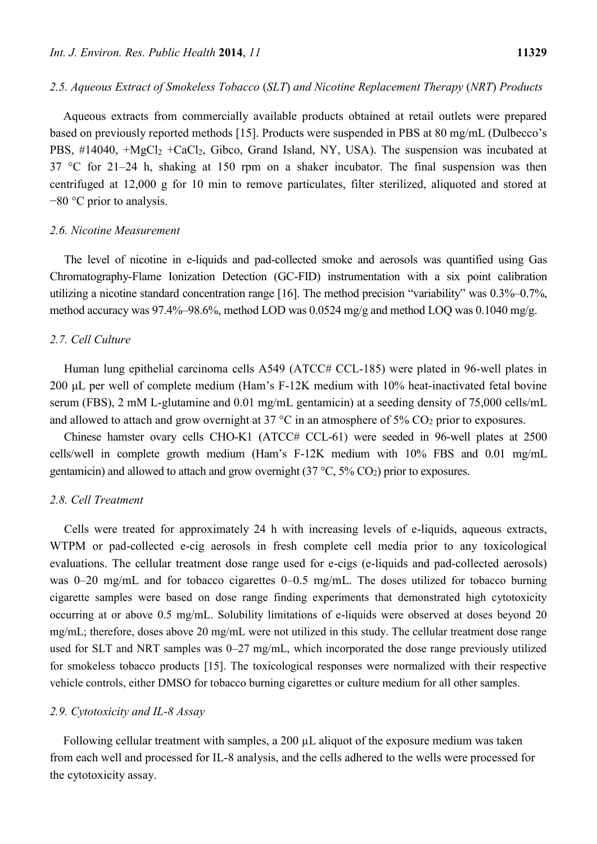# *2.5. Aqueous Extract of Smokeless Tobacco* (*SLT*) *and Nicotine Replacement Therapy* (*NRT*) *Products*

Aqueous extracts from commercially available products obtained at retail outlets were prepared based on previously reported methods [15]. Products were suspended in PBS at 80 mg/mL (Dulbecco's PBS,  $\#14040$ ,  $+MgCl_2 + CaCl_2$ , Gibco, Grand Island, NY, USA). The suspension was incubated at 37 °C for 21–24 h, shaking at 150 rpm on a shaker incubator. The final suspension was then centrifuged at 12,000 g for 10 min to remove particulates, filter sterilized, aliquoted and stored at −80 °C prior to analysis.

#### *2.6. Nicotine Measurement*

The level of nicotine in e-liquids and pad-collected smoke and aerosols was quantified using Gas Chromatography-Flame Ionization Detection (GC-FID) instrumentation with a six point calibration utilizing a nicotine standard concentration range [16]. The method precision "variability" was 0.3%–0.7%, method accuracy was 97.4%–98.6%, method LOD was 0.0524 mg/g and method LOQ was 0.1040 mg/g.

## *2.7. Cell Culture*

Human lung epithelial carcinoma cells A549 (ATCC# CCL-185) were plated in 96-well plates in 200 μL per well of complete medium (Ham's F-12K medium with 10% heat-inactivated fetal bovine serum (FBS), 2 mM L-glutamine and 0.01 mg/mL gentamicin) at a seeding density of 75,000 cells/mL and allowed to attach and grow overnight at 37  $\rm{^{\circ}C}$  in an atmosphere of 5% CO<sub>2</sub> prior to exposures.

Chinese hamster ovary cells CHO-K1 (ATCC# CCL-61) were seeded in 96-well plates at 2500 cells/well in complete growth medium (Ham's F-12K medium with 10% FBS and 0.01 mg/mL gentamicin) and allowed to attach and grow overnight (37  $\degree$ C, 5% CO<sub>2</sub>) prior to exposures.

## *2.8. Cell Treatment*

Cells were treated for approximately 24 h with increasing levels of e-liquids, aqueous extracts, WTPM or pad-collected e-cig aerosols in fresh complete cell media prior to any toxicological evaluations. The cellular treatment dose range used for e-cigs (e-liquids and pad-collected aerosols) was 0–20 mg/mL and for tobacco cigarettes 0–0.5 mg/mL. The doses utilized for tobacco burning cigarette samples were based on dose range finding experiments that demonstrated high cytotoxicity occurring at or above 0.5 mg/mL. Solubility limitations of e-liquids were observed at doses beyond 20 mg/mL; therefore, doses above 20 mg/mL were not utilized in this study. The cellular treatment dose range used for SLT and NRT samples was 0–27 mg/mL, which incorporated the dose range previously utilized for smokeless tobacco products [15]. The toxicological responses were normalized with their respective vehicle controls, either DMSO for tobacco burning cigarettes or culture medium for all other samples.

## *2.9. Cytotoxicity and IL-8 Assay*

Following cellular treatment with samples, a 200  $\mu$ L aliquot of the exposure medium was taken from each well and processed for IL-8 analysis, and the cells adhered to the wells were processed for the cytotoxicity assay.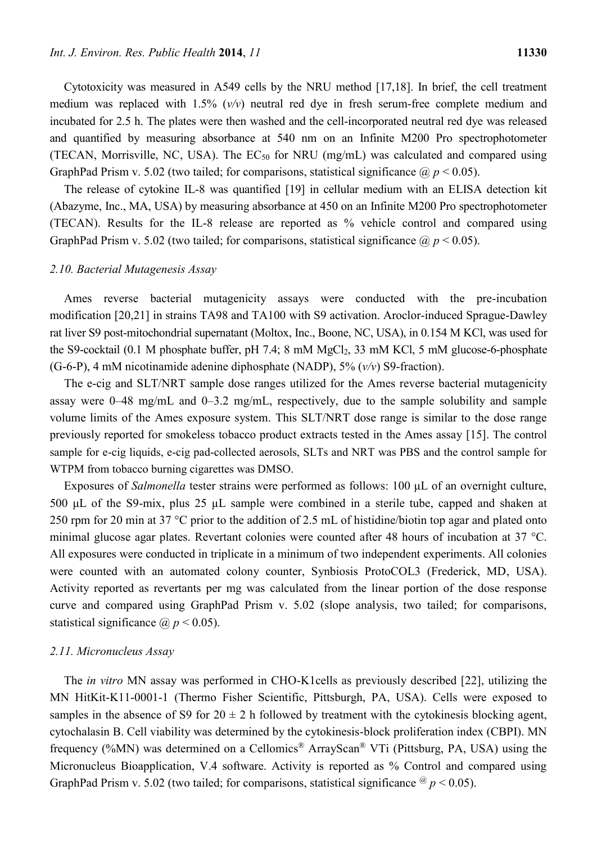Cytotoxicity was measured in A549 cells by the NRU method [17,18]. In brief, the cell treatment medium was replaced with 1.5% (*v/v*) neutral red dye in fresh serum-free complete medium and incubated for 2.5 h. The plates were then washed and the cell-incorporated neutral red dye was released and quantified by measuring absorbance at 540 nm on an Infinite M200 Pro spectrophotometer (TECAN, Morrisville, NC, USA). The  $EC_{50}$  for NRU (mg/mL) was calculated and compared using GraphPad Prism v. 5.02 (two tailed; for comparisons, statistical significance  $\omega$  *p* < 0.05).

The release of cytokine IL-8 was quantified [19] in cellular medium with an ELISA detection kit (Abazyme, Inc., MA, USA) by measuring absorbance at 450 on an Infinite M200 Pro spectrophotometer (TECAN). Results for the IL-8 release are reported as % vehicle control and compared using GraphPad Prism v. 5.02 (two tailed; for comparisons, statistical significance  $\omega$  *p* < 0.05).

## *2.10. Bacterial Mutagenesis Assay*

Ames reverse bacterial mutagenicity assays were conducted with the pre-incubation modification [20,21] in strains TA98 and TA100 with S9 activation. Aroclor-induced Sprague-Dawley rat liver S9 post-mitochondrial supernatant (Moltox, Inc., Boone, NC, USA), in 0.154 M KCl, was used for the S9-cocktail (0.1 M phosphate buffer, pH 7.4; 8 mM MgCl<sub>2</sub>, 33 mM KCl, 5 mM glucose-6-phosphate (G-6-P), 4 mM nicotinamide adenine diphosphate (NADP), 5% (*v/v*) S9-fraction).

The e-cig and SLT/NRT sample dose ranges utilized for the Ames reverse bacterial mutagenicity assay were 0–48 mg/mL and 0–3.2 mg/mL, respectively, due to the sample solubility and sample volume limits of the Ames exposure system. This SLT/NRT dose range is similar to the dose range previously reported for smokeless tobacco product extracts tested in the Ames assay [15]. The control sample for e-cig liquids, e-cig pad-collected aerosols, SLTs and NRT was PBS and the control sample for WTPM from tobacco burning cigarettes was DMSO.

Exposures of *Salmonella* tester strains were performed as follows: 100 μL of an overnight culture, 500 μL of the S9-mix, plus 25 µL sample were combined in a sterile tube, capped and shaken at 250 rpm for 20 min at 37 °C prior to the addition of 2.5 mL of histidine/biotin top agar and plated onto minimal glucose agar plates. Revertant colonies were counted after 48 hours of incubation at 37 °C. All exposures were conducted in triplicate in a minimum of two independent experiments. All colonies were counted with an automated colony counter, Synbiosis ProtoCOL3 (Frederick, MD, USA). Activity reported as revertants per mg was calculated from the linear portion of the dose response curve and compared using GraphPad Prism v. 5.02 (slope analysis, two tailed; for comparisons, statistical significance  $(a)$   $p < 0.05$ ).

### *2.11. Micronucleus Assay*

The *in vitro* MN assay was performed in CHO-K1cells as previously described [22], utilizing the MN HitKit-K11-0001-1 (Thermo Fisher Scientific, Pittsburgh, PA, USA). Cells were exposed to samples in the absence of S9 for  $20 \pm 2$  h followed by treatment with the cytokinesis blocking agent, cytochalasin B. Cell viability was determined by the cytokinesis-block proliferation index (CBPI). MN frequency (%MN) was determined on a Cellomics® ArrayScan® VTi (Pittsburg, PA, USA) using the Micronucleus Bioapplication, V.4 software. Activity is reported as % Control and compared using GraphPad Prism v. 5.02 (two tailed; for comparisons, statistical significance  $\mathcal{P}$   $p$  < 0.05).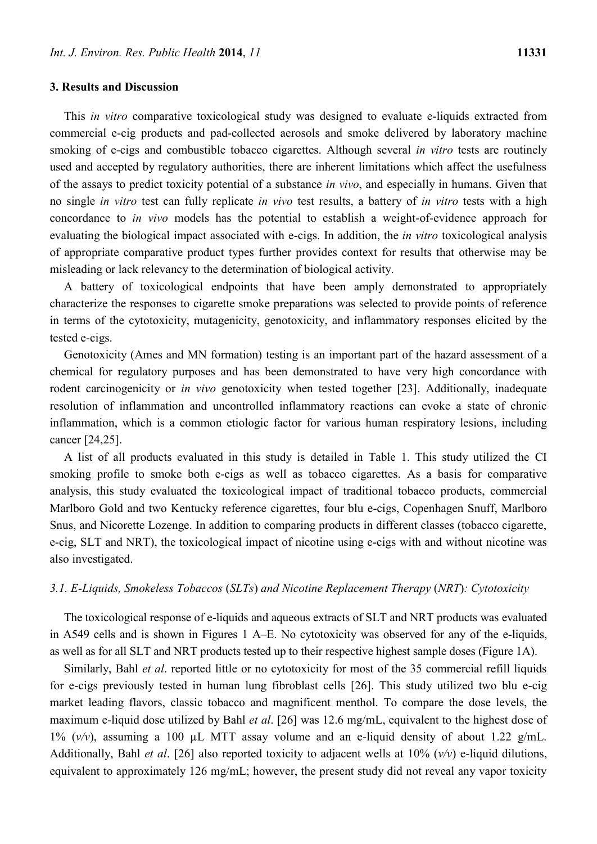## **3. Results and Discussion**

This *in vitro* comparative toxicological study was designed to evaluate e-liquids extracted from commercial e-cig products and pad-collected aerosols and smoke delivered by laboratory machine smoking of e-cigs and combustible tobacco cigarettes. Although several *in vitro* tests are routinely used and accepted by regulatory authorities, there are inherent limitations which affect the usefulness of the assays to predict toxicity potential of a substance *in vivo*, and especially in humans. Given that no single *in vitro* test can fully replicate *in vivo* test results, a battery of *in vitro* tests with a high concordance to *in vivo* models has the potential to establish a weight-of-evidence approach for evaluating the biological impact associated with e-cigs. In addition, the *in vitro* toxicological analysis of appropriate comparative product types further provides context for results that otherwise may be misleading or lack relevancy to the determination of biological activity.

A battery of toxicological endpoints that have been amply demonstrated to appropriately characterize the responses to cigarette smoke preparations was selected to provide points of reference in terms of the cytotoxicity, mutagenicity, genotoxicity, and inflammatory responses elicited by the tested e-cigs.

Genotoxicity (Ames and MN formation) testing is an important part of the hazard assessment of a chemical for regulatory purposes and has been demonstrated to have very high concordance with rodent carcinogenicity or *in vivo* genotoxicity when tested together [23]. Additionally, inadequate resolution of inflammation and uncontrolled inflammatory reactions can evoke a state of chronic inflammation, which is a common etiologic factor for various human respiratory lesions, including cancer [24,25].

A list of all products evaluated in this study is detailed in Table 1. This study utilized the CI smoking profile to smoke both e-cigs as well as tobacco cigarettes. As a basis for comparative analysis, this study evaluated the toxicological impact of traditional tobacco products, commercial Marlboro Gold and two Kentucky reference cigarettes, four blu e-cigs, Copenhagen Snuff, Marlboro Snus, and Nicorette Lozenge. In addition to comparing products in different classes (tobacco cigarette, e-cig, SLT and NRT), the toxicological impact of nicotine using e-cigs with and without nicotine was also investigated.

# *3.1. E-Liquids, Smokeless Tobaccos* (*SLTs*) *and Nicotine Replacement Therapy* (*NRT*)*: Cytotoxicity*

The toxicological response of e-liquids and aqueous extracts of SLT and NRT products was evaluated in A549 cells and is shown in Figures 1 A–E. No cytotoxicity was observed for any of the e-liquids, as well as for all SLT and NRT products tested up to their respective highest sample doses (Figure 1A).

Similarly, Bahl *et al*. reported little or no cytotoxicity for most of the 35 commercial refill liquids for e-cigs previously tested in human lung fibroblast cells [26]. This study utilized two blu e-cig market leading flavors, classic tobacco and magnificent menthol. To compare the dose levels, the maximum e-liquid dose utilized by Bahl *et al*. [26] was 12.6 mg/mL, equivalent to the highest dose of 1% (*v/v*), assuming a 100 µL MTT assay volume and an e-liquid density of about 1.22 g/mL. Additionally, Bahl *et al*. [26] also reported toxicity to adjacent wells at 10% (*v/v*) e-liquid dilutions, equivalent to approximately 126 mg/mL; however, the present study did not reveal any vapor toxicity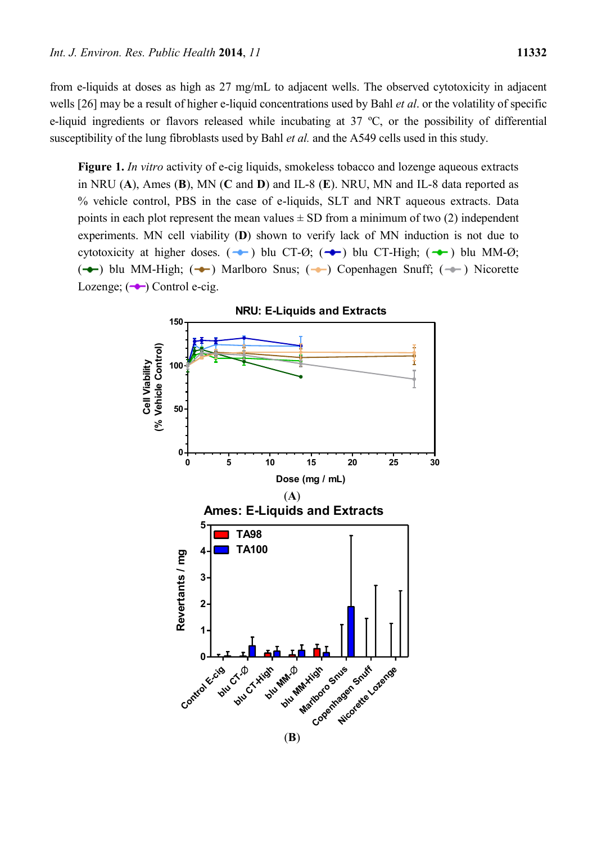from e-liquids at doses as high as 27 mg/mL to adjacent wells. The observed cytotoxicity in adjacent wells [26] may be a result of higher e-liquid concentrations used by Bahl *et al*. or the volatility of specific e-liquid ingredients or flavors released while incubating at 37 ºC, or the possibility of differential susceptibility of the lung fibroblasts used by Bahl *et al.* and the A549 cells used in this study.

**Figure 1.** *In vitro* activity of e-cig liquids, smokeless tobacco and lozenge aqueous extracts in NRU (**A**), Ames (**B**), MN (**C** and **D**) and IL-8 (**E**). NRU, MN and IL-8 data reported as % vehicle control, PBS in the case of e-liquids, SLT and NRT aqueous extracts. Data points in each plot represent the mean values  $\pm$  SD from a minimum of two (2) independent experiments. MN cell viability (**D**) shown to verify lack of MN induction is not due to cytotoxicity at higher doses.  $(\rightarrow)$  blu CT-Ø;  $(\rightarrow)$  blu CT-High;  $(\rightarrow)$  blu MM-Ø;  $(\rightarrow)$  blu MM-High;  $(\rightarrow)$  Marlboro Snus;  $(\rightarrow)$  Copenhagen Snuff;  $(\rightarrow)$  Nicorette Lozenge;  $(\rightarrow)$  Control e-cig.

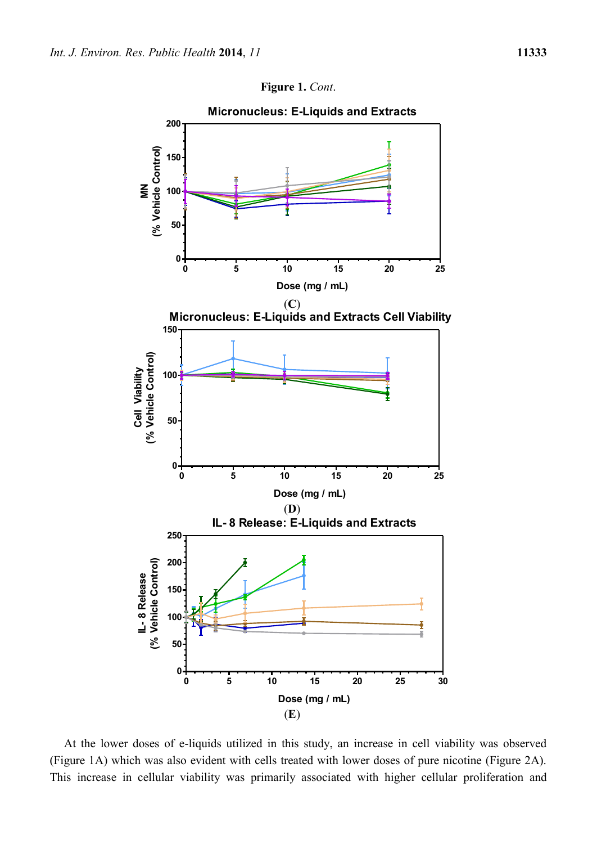

**Figure 1.** *Cont*.

At the lower doses of e-liquids utilized in this study, an increase in cell viability was observed (Figure 1A) which was also evident with cells treated with lower doses of pure nicotine (Figure 2A).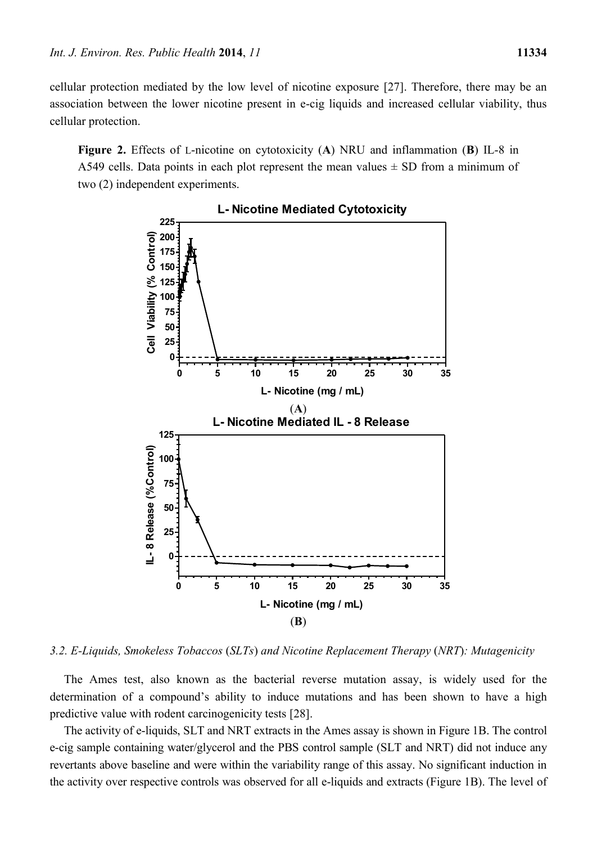cellular protection mediated by the low level of nicotine exposure [27]. Therefore, there may be an association between the lower nicotine present in e-cig liquids and increased cellular viability, thus cellular protection.

**Figure 2.** Effects of L-nicotine on cytotoxicity (**A**) NRU and inflammation (**B**) IL-8 in A549 cells. Data points in each plot represent the mean values  $\pm$  SD from a minimum of two (2) independent experiments.



**L- Nicotine Mediated Cytotoxicity**

*3.2. E-Liquids, Smokeless Tobaccos* (*SLTs*) *and Nicotine Replacement Therapy* (*NRT*)*: Mutagenicity*

The Ames test, also known as the bacterial reverse mutation assay, is widely used for the determination of a compound's ability to induce mutations and has been shown to have a high predictive value with rodent carcinogenicity tests [28].

The activity of e-liquids, SLT and NRT extracts in the Ames assay is shown in Figure 1B. The control e-cig sample containing water/glycerol and the PBS control sample (SLT and NRT) did not induce any revertants above baseline and were within the variability range of this assay. No significant induction in the activity over respective controls was observed for all e-liquids and extracts (Figure 1B). The level of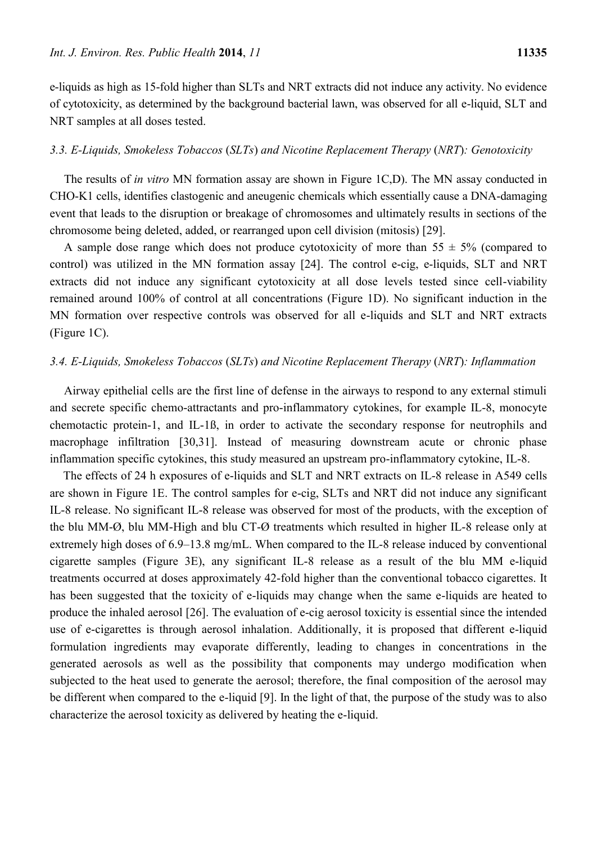e-liquids as high as 15-fold higher than SLTs and NRT extracts did not induce any activity. No evidence of cytotoxicity, as determined by the background bacterial lawn, was observed for all e-liquid, SLT and NRT samples at all doses tested.

# *3.3. E-Liquids, Smokeless Tobaccos* (*SLTs*) *and Nicotine Replacement Therapy* (*NRT*)*: Genotoxicity*

The results of *in vitro* MN formation assay are shown in Figure 1C,D). The MN assay conducted in CHO-K1 cells, identifies clastogenic and aneugenic chemicals which essentially cause a DNA-damaging event that leads to the disruption or breakage of chromosomes and ultimately results in sections of the chromosome being deleted, added, or rearranged upon cell division (mitosis) [29].

A sample dose range which does not produce cytotoxicity of more than  $55 \pm 5\%$  (compared to control) was utilized in the MN formation assay [24]. The control e-cig, e-liquids, SLT and NRT extracts did not induce any significant cytotoxicity at all dose levels tested since cell-viability remained around 100% of control at all concentrations (Figure 1D). No significant induction in the MN formation over respective controls was observed for all e-liquids and SLT and NRT extracts (Figure 1C).

# *3.4. E-Liquids, Smokeless Tobaccos* (*SLTs*) *and Nicotine Replacement Therapy* (*NRT*)*: Inflammation*

Airway epithelial cells are the first line of defense in the airways to respond to any external stimuli and secrete specific chemo-attractants and pro-inflammatory cytokines, for example IL-8, monocyte chemotactic protein-1, and IL-1ß, in order to activate the secondary response for neutrophils and macrophage infiltration [30,31]. Instead of measuring downstream acute or chronic phase inflammation specific cytokines, this study measured an upstream pro-inflammatory cytokine, IL-8.

The effects of 24 h exposures of e-liquids and SLT and NRT extracts on IL-8 release in A549 cells are shown in Figure 1E. The control samples for e-cig, SLTs and NRT did not induce any significant IL-8 release. No significant IL-8 release was observed for most of the products, with the exception of the blu MM-Ø, blu MM-High and blu CT-Ø treatments which resulted in higher IL-8 release only at extremely high doses of 6.9–13.8 mg/mL. When compared to the IL-8 release induced by conventional cigarette samples (Figure 3E), any significant IL-8 release as a result of the blu MM e-liquid treatments occurred at doses approximately 42-fold higher than the conventional tobacco cigarettes. It has been suggested that the toxicity of e-liquids may change when the same e-liquids are heated to produce the inhaled aerosol [26]. The evaluation of e-cig aerosol toxicity is essential since the intended use of e-cigarettes is through aerosol inhalation. Additionally, it is proposed that different e-liquid formulation ingredients may evaporate differently, leading to changes in concentrations in the generated aerosols as well as the possibility that components may undergo modification when subjected to the heat used to generate the aerosol; therefore, the final composition of the aerosol may be different when compared to the e-liquid [9]. In the light of that, the purpose of the study was to also characterize the aerosol toxicity as delivered by heating the e-liquid.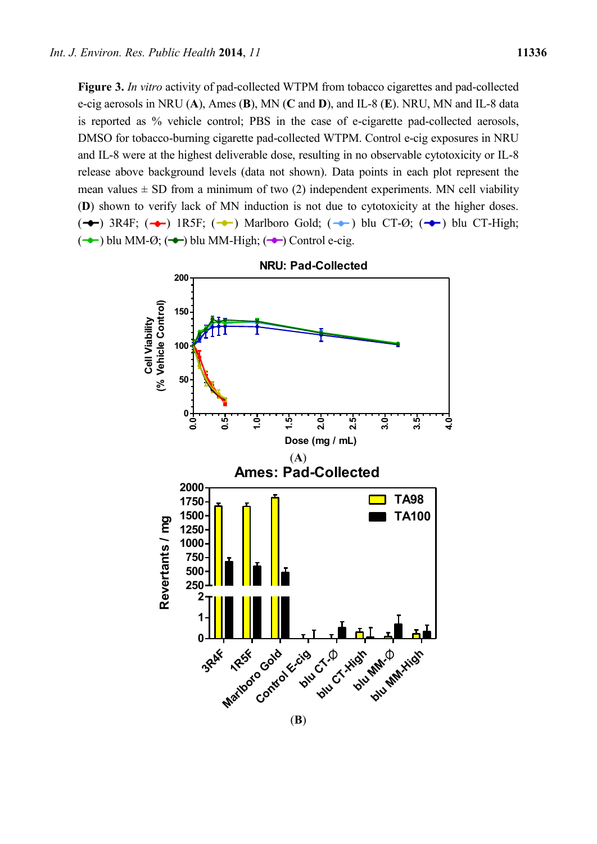**Figure 3.** *In vitro* activity of pad-collected WTPM from tobacco cigarettes and pad-collected e-cig aerosols in NRU (**A**), Ames (**B**), MN (**C** and **D**), and IL-8 (**E**). NRU, MN and IL-8 data is reported as % vehicle control; PBS in the case of e-cigarette pad-collected aerosols, DMSO for tobacco-burning cigarette pad-collected WTPM. Control e-cig exposures in NRU and IL-8 were at the highest deliverable dose, resulting in no observable cytotoxicity or IL-8 release above background levels (data not shown). Data points in each plot represent the mean values  $\pm$  SD from a minimum of two (2) independent experiments. MN cell viability (**D**) shown to verify lack of MN induction is not due to cytotoxicity at the higher doses.  $(\rightarrow)$  3R4F;  $(\rightarrow)$  1R5F;  $(\rightarrow)$  Marlboro Gold;  $(\rightarrow)$  blu CT-Ø;  $(\rightarrow)$  blu CT-High;  $(\rightarrow)$  blu MM-Ø;  $(\rightarrow)$  blu MM-High;  $(\rightarrow)$  Control e-cig.

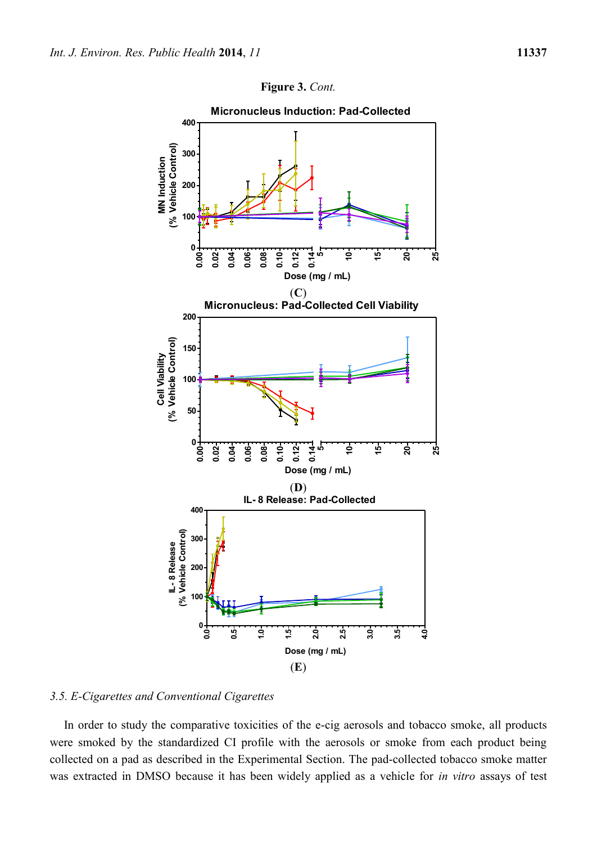

**Figure 3.** *Cont.*

## *3.5. E-Cigarettes and Conventional Cigarettes*

In order to study the comparative toxicities of the e-cig aerosols and tobacco smoke, all products were smoked by the standardized CI profile with the aerosols or smoke from each product being collected on a pad as described in the Experimental Section. The pad-collected tobacco smoke matter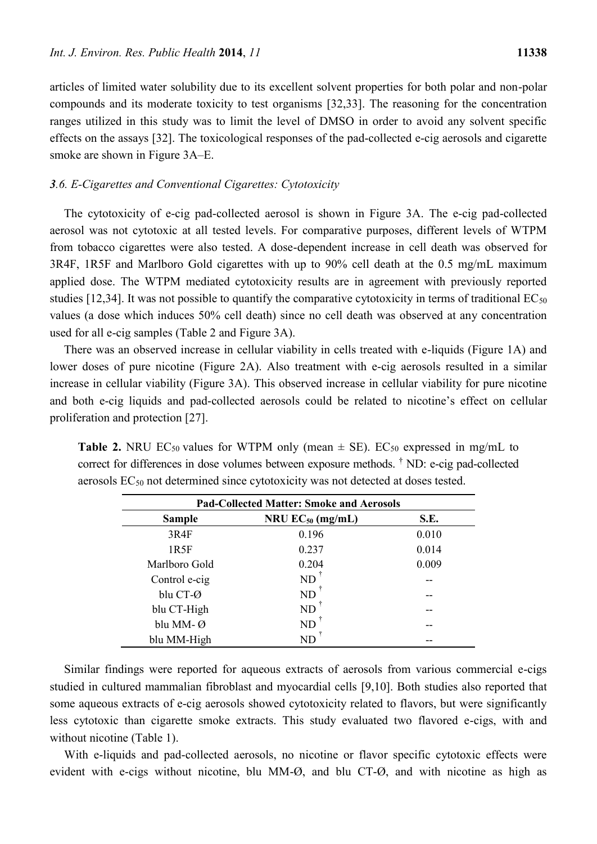articles of limited water solubility due to its excellent solvent properties for both polar and non-polar compounds and its moderate toxicity to test organisms [32,33]. The reasoning for the concentration ranges utilized in this study was to limit the level of DMSO in order to avoid any solvent specific effects on the assays [32]. The toxicological responses of the pad-collected e-cig aerosols and cigarette smoke are shown in Figure 3A–E.

# *3.6. E-Cigarettes and Conventional Cigarettes: Cytotoxicity*

The cytotoxicity of e-cig pad-collected aerosol is shown in Figure 3A. The e-cig pad-collected aerosol was not cytotoxic at all tested levels. For comparative purposes, different levels of WTPM from tobacco cigarettes were also tested. A dose-dependent increase in cell death was observed for 3R4F, 1R5F and Marlboro Gold cigarettes with up to 90% cell death at the 0.5 mg/mL maximum applied dose. The WTPM mediated cytotoxicity results are in agreement with previously reported studies [12,34]. It was not possible to quantify the comparative cytotoxicity in terms of traditional  $EC_{50}$ values (a dose which induces 50% cell death) since no cell death was observed at any concentration used for all e-cig samples (Table 2 and Figure 3A).

There was an observed increase in cellular viability in cells treated with e-liquids (Figure 1A) and lower doses of pure nicotine (Figure 2A). Also treatment with e-cig aerosols resulted in a similar increase in cellular viability (Figure 3A). This observed increase in cellular viability for pure nicotine and both e-cig liquids and pad-collected aerosols could be related to nicotine's effect on cellular proliferation and protection [27].

**Table 2.** NRU EC<sub>50</sub> values for WTPM only (mean  $\pm$  SE). EC<sub>50</sub> expressed in mg/mL to correct for differences in dose volumes between exposure methods. † ND: e-cig pad-collected aerosols EC<sub>50</sub> not determined since cytotoxicity was not detected at doses tested.

| <b>Pad-Collected Matter: Smoke and Aerosols</b> |                                      |       |  |  |  |
|-------------------------------------------------|--------------------------------------|-------|--|--|--|
| <b>Sample</b>                                   | NRU $EC_{50}$ (mg/mL)                | S.E.  |  |  |  |
| 3R4F                                            | 0.196                                | 0.010 |  |  |  |
| 1R5F                                            | 0.237                                | 0.014 |  |  |  |
| Marlboro Gold                                   | 0.204                                | 0.009 |  |  |  |
| Control e-cig                                   | $ND$ <sup><math>\dagger</math></sup> |       |  |  |  |
| blu CT-Ø                                        | $ND^{\dagger}$                       |       |  |  |  |
| blu CT-High                                     | ND                                   |       |  |  |  |
| blu MM-Ø                                        | ND                                   |       |  |  |  |
| blu MM-High                                     |                                      |       |  |  |  |

Similar findings were reported for aqueous extracts of aerosols from various commercial e-cigs studied in cultured mammalian fibroblast and myocardial cells [9,10]. Both studies also reported that some aqueous extracts of e-cig aerosols showed cytotoxicity related to flavors, but were significantly less cytotoxic than cigarette smoke extracts. This study evaluated two flavored e-cigs, with and without nicotine (Table 1).

With e-liquids and pad-collected aerosols, no nicotine or flavor specific cytotoxic effects were evident with e-cigs without nicotine, blu MM-Ø, and blu CT-Ø, and with nicotine as high as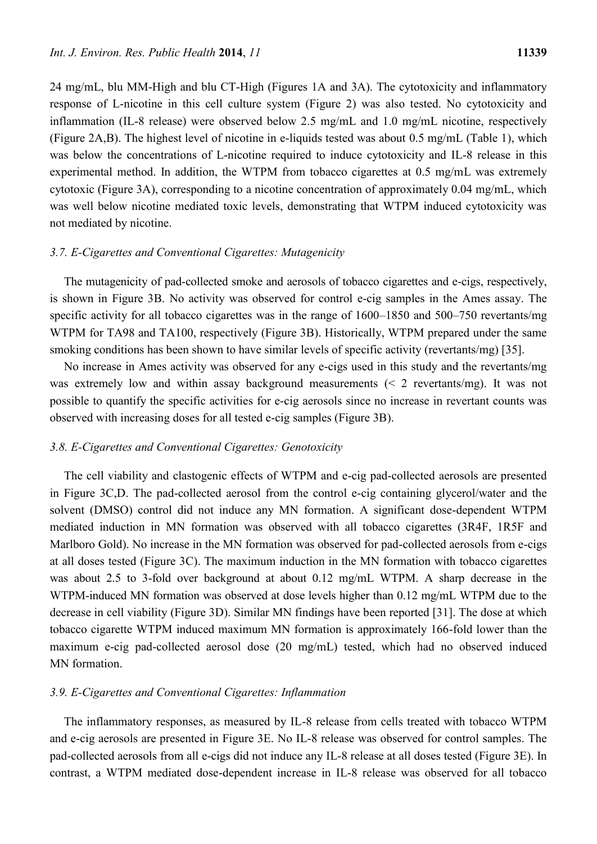24 mg/mL, blu MM-High and blu CT-High (Figures 1A and 3A). The cytotoxicity and inflammatory response of L-nicotine in this cell culture system (Figure 2) was also tested. No cytotoxicity and inflammation (IL-8 release) were observed below 2.5 mg/mL and 1.0 mg/mL nicotine, respectively (Figure 2A,B). The highest level of nicotine in e-liquids tested was about 0.5 mg/mL (Table 1), which was below the concentrations of L-nicotine required to induce cytotoxicity and IL-8 release in this experimental method. In addition, the WTPM from tobacco cigarettes at 0.5 mg/mL was extremely cytotoxic (Figure 3A), corresponding to a nicotine concentration of approximately 0.04 mg/mL, which was well below nicotine mediated toxic levels, demonstrating that WTPM induced cytotoxicity was not mediated by nicotine.

## *3.7. E-Cigarettes and Conventional Cigarettes: Mutagenicity*

The mutagenicity of pad-collected smoke and aerosols of tobacco cigarettes and e-cigs, respectively, is shown in Figure 3B. No activity was observed for control e-cig samples in the Ames assay. The specific activity for all tobacco cigarettes was in the range of 1600–1850 and 500–750 revertants/mg WTPM for TA98 and TA100, respectively (Figure 3B). Historically, WTPM prepared under the same smoking conditions has been shown to have similar levels of specific activity (revertants/mg) [35].

No increase in Ames activity was observed for any e-cigs used in this study and the revertants/mg was extremely low and within assay background measurements (< 2 revertants/mg). It was not possible to quantify the specific activities for e-cig aerosols since no increase in revertant counts was observed with increasing doses for all tested e-cig samples (Figure 3B).

### *3.8. E-Cigarettes and Conventional Cigarettes: Genotoxicity*

The cell viability and clastogenic effects of WTPM and e-cig pad-collected aerosols are presented in Figure 3C,D. The pad-collected aerosol from the control e-cig containing glycerol/water and the solvent (DMSO) control did not induce any MN formation. A significant dose-dependent WTPM mediated induction in MN formation was observed with all tobacco cigarettes (3R4F, 1R5F and Marlboro Gold). No increase in the MN formation was observed for pad-collected aerosols from e-cigs at all doses tested (Figure 3C). The maximum induction in the MN formation with tobacco cigarettes was about 2.5 to 3-fold over background at about 0.12 mg/mL WTPM. A sharp decrease in the WTPM-induced MN formation was observed at dose levels higher than 0.12 mg/mL WTPM due to the decrease in cell viability (Figure 3D). Similar MN findings have been reported [31]. The dose at which tobacco cigarette WTPM induced maximum MN formation is approximately 166-fold lower than the maximum e-cig pad-collected aerosol dose (20 mg/mL) tested, which had no observed induced MN formation.

# *3.9. E-Cigarettes and Conventional Cigarettes: Inflammation*

The inflammatory responses, as measured by IL-8 release from cells treated with tobacco WTPM and e-cig aerosols are presented in Figure 3E. No IL-8 release was observed for control samples. The pad-collected aerosols from all e-cigs did not induce any IL-8 release at all doses tested (Figure 3E). In contrast, a WTPM mediated dose-dependent increase in IL-8 release was observed for all tobacco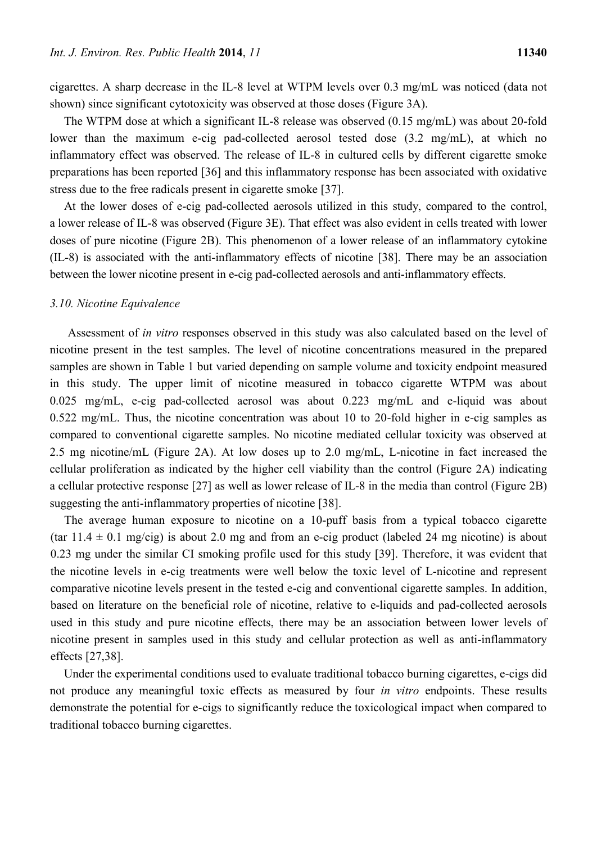cigarettes. A sharp decrease in the IL-8 level at WTPM levels over 0.3 mg/mL was noticed (data not shown) since significant cytotoxicity was observed at those doses (Figure 3A).

The WTPM dose at which a significant IL-8 release was observed (0.15 mg/mL) was about 20-fold lower than the maximum e-cig pad-collected aerosol tested dose  $(3.2 \text{ mg/mL})$ , at which no inflammatory effect was observed. The release of IL-8 in cultured cells by different cigarette smoke preparations has been reported [36] and this inflammatory response has been associated with oxidative stress due to the free radicals present in cigarette smoke [37].

At the lower doses of e-cig pad-collected aerosols utilized in this study, compared to the control, a lower release of IL-8 was observed (Figure 3E). That effect was also evident in cells treated with lower doses of pure nicotine (Figure 2B). This phenomenon of a lower release of an inflammatory cytokine (IL-8) is associated with the anti-inflammatory effects of nicotine [38]. There may be an association between the lower nicotine present in e-cig pad-collected aerosols and anti-inflammatory effects.

## *3.10. Nicotine Equivalence*

Assessment of *in vitro* responses observed in this study was also calculated based on the level of nicotine present in the test samples. The level of nicotine concentrations measured in the prepared samples are shown in Table 1 but varied depending on sample volume and toxicity endpoint measured in this study. The upper limit of nicotine measured in tobacco cigarette WTPM was about 0.025 mg/mL, e-cig pad-collected aerosol was about 0.223 mg/mL and e-liquid was about 0.522 mg/mL. Thus, the nicotine concentration was about 10 to 20-fold higher in e-cig samples as compared to conventional cigarette samples. No nicotine mediated cellular toxicity was observed at 2.5 mg nicotine/mL (Figure 2A). At low doses up to 2.0 mg/mL, L-nicotine in fact increased the cellular proliferation as indicated by the higher cell viability than the control (Figure 2A) indicating a cellular protective response [27] as well as lower release of IL-8 in the media than control (Figure 2B) suggesting the anti-inflammatory properties of nicotine [38].

The average human exposure to nicotine on a 10-puff basis from a typical tobacco cigarette (tar  $11.4 \pm 0.1$  mg/cig) is about 2.0 mg and from an e-cig product (labeled 24 mg nicotine) is about 0.23 mg under the similar CI smoking profile used for this study [39]. Therefore, it was evident that the nicotine levels in e-cig treatments were well below the toxic level of L-nicotine and represent comparative nicotine levels present in the tested e-cig and conventional cigarette samples. In addition, based on literature on the beneficial role of nicotine, relative to e-liquids and pad-collected aerosols used in this study and pure nicotine effects, there may be an association between lower levels of nicotine present in samples used in this study and cellular protection as well as anti-inflammatory effects [27,38].

Under the experimental conditions used to evaluate traditional tobacco burning cigarettes, e-cigs did not produce any meaningful toxic effects as measured by four *in vitro* endpoints. These results demonstrate the potential for e-cigs to significantly reduce the toxicological impact when compared to traditional tobacco burning cigarettes.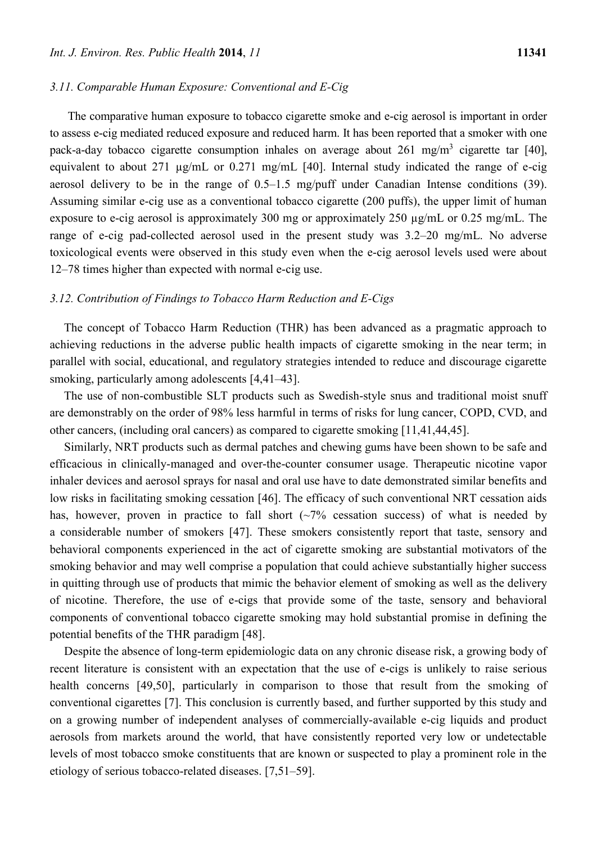## *3.11. Comparable Human Exposure: Conventional and E-Cig*

The comparative human exposure to tobacco cigarette smoke and e-cig aerosol is important in order to assess e-cig mediated reduced exposure and reduced harm. It has been reported that a smoker with one pack-a-day tobacco cigarette consumption inhales on average about 261 mg/m<sup>3</sup> cigarette tar [40], equivalent to about 271 µg/mL or 0.271 mg/mL [40]. Internal study indicated the range of e-cig aerosol delivery to be in the range of 0.5–1.5 mg/puff under Canadian Intense conditions (39). Assuming similar e-cig use as a conventional tobacco cigarette (200 puffs), the upper limit of human exposure to e-cig aerosol is approximately 300 mg or approximately 250 µg/mL or 0.25 mg/mL. The range of e-cig pad-collected aerosol used in the present study was 3.2–20 mg/mL. No adverse toxicological events were observed in this study even when the e-cig aerosol levels used were about 12–78 times higher than expected with normal e-cig use.

## *3.12. Contribution of Findings to Tobacco Harm Reduction and E-Cigs*

The concept of Tobacco Harm Reduction (THR) has been advanced as a pragmatic approach to achieving reductions in the adverse public health impacts of cigarette smoking in the near term; in parallel with social, educational, and regulatory strategies intended to reduce and discourage cigarette smoking, particularly among adolescents [4,41–43].

The use of non-combustible SLT products such as Swedish-style snus and traditional moist snuff are demonstrably on the order of 98% less harmful in terms of risks for lung cancer, COPD, CVD, and other cancers, (including oral cancers) as compared to cigarette smoking [11,41,44,45].

Similarly, NRT products such as dermal patches and chewing gums have been shown to be safe and efficacious in clinically-managed and over-the-counter consumer usage. Therapeutic nicotine vapor inhaler devices and aerosol sprays for nasal and oral use have to date demonstrated similar benefits and low risks in facilitating smoking cessation [46]. The efficacy of such conventional NRT cessation aids has, however, proven in practice to fall short  $(\sim 7\%$  cessation success) of what is needed by a considerable number of smokers [47]. These smokers consistently report that taste, sensory and behavioral components experienced in the act of cigarette smoking are substantial motivators of the smoking behavior and may well comprise a population that could achieve substantially higher success in quitting through use of products that mimic the behavior element of smoking as well as the delivery of nicotine. Therefore, the use of e-cigs that provide some of the taste, sensory and behavioral components of conventional tobacco cigarette smoking may hold substantial promise in defining the potential benefits of the THR paradigm [48].

Despite the absence of long-term epidemiologic data on any chronic disease risk, a growing body of recent literature is consistent with an expectation that the use of e-cigs is unlikely to raise serious health concerns [49,50], particularly in comparison to those that result from the smoking of conventional cigarettes [7]. This conclusion is currently based, and further supported by this study and on a growing number of independent analyses of commercially-available e-cig liquids and product aerosols from markets around the world, that have consistently reported very low or undetectable levels of most tobacco smoke constituents that are known or suspected to play a prominent role in the etiology of serious tobacco-related diseases. [7,51–59].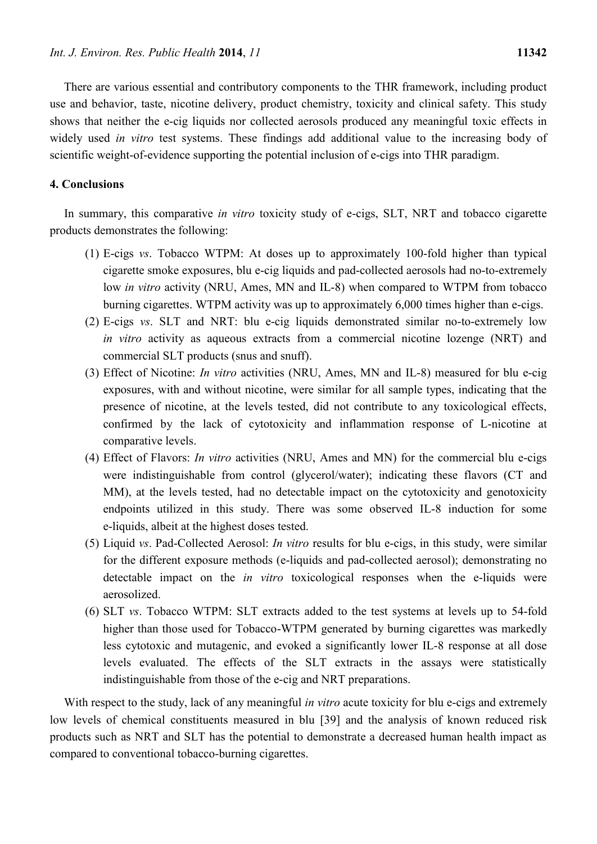There are various essential and contributory components to the THR framework, including product use and behavior, taste, nicotine delivery, product chemistry, toxicity and clinical safety. This study shows that neither the e-cig liquids nor collected aerosols produced any meaningful toxic effects in widely used *in vitro* test systems. These findings add additional value to the increasing body of scientific weight-of-evidence supporting the potential inclusion of e-cigs into THR paradigm.

## **4. Conclusions**

In summary, this comparative *in vitro* toxicity study of e-cigs, SLT, NRT and tobacco cigarette products demonstrates the following:

- (1) E-cigs *vs*. Tobacco WTPM: At doses up to approximately 100-fold higher than typical cigarette smoke exposures, blu e-cig liquids and pad-collected aerosols had no-to-extremely low *in vitro* activity (NRU, Ames, MN and IL-8) when compared to WTPM from tobacco burning cigarettes. WTPM activity was up to approximately 6,000 times higher than e-cigs.
- (2) E-cigs *vs*. SLT and NRT: blu e-cig liquids demonstrated similar no-to-extremely low *in vitro* activity as aqueous extracts from a commercial nicotine lozenge (NRT) and commercial SLT products (snus and snuff).
- (3) Effect of Nicotine: *In vitro* activities (NRU, Ames, MN and IL-8) measured for blu e-cig exposures, with and without nicotine, were similar for all sample types, indicating that the presence of nicotine, at the levels tested, did not contribute to any toxicological effects, confirmed by the lack of cytotoxicity and inflammation response of L-nicotine at comparative levels.
- (4) Effect of Flavors: *In vitro* activities (NRU, Ames and MN) for the commercial blu e-cigs were indistinguishable from control (glycerol/water); indicating these flavors (CT and MM), at the levels tested, had no detectable impact on the cytotoxicity and genotoxicity endpoints utilized in this study. There was some observed IL-8 induction for some e-liquids, albeit at the highest doses tested.
- (5) Liquid *vs*. Pad-Collected Aerosol: *In vitro* results for blu e-cigs, in this study, were similar for the different exposure methods (e-liquids and pad-collected aerosol); demonstrating no detectable impact on the *in vitro* toxicological responses when the e-liquids were aerosolized.
- (6) SLT *vs*. Tobacco WTPM: SLT extracts added to the test systems at levels up to 54-fold higher than those used for Tobacco-WTPM generated by burning cigarettes was markedly less cytotoxic and mutagenic, and evoked a significantly lower IL-8 response at all dose levels evaluated. The effects of the SLT extracts in the assays were statistically indistinguishable from those of the e-cig and NRT preparations.

With respect to the study, lack of any meaningful *in vitro* acute toxicity for blu e-cigs and extremely low levels of chemical constituents measured in blu [39] and the analysis of known reduced risk products such as NRT and SLT has the potential to demonstrate a decreased human health impact as compared to conventional tobacco-burning cigarettes.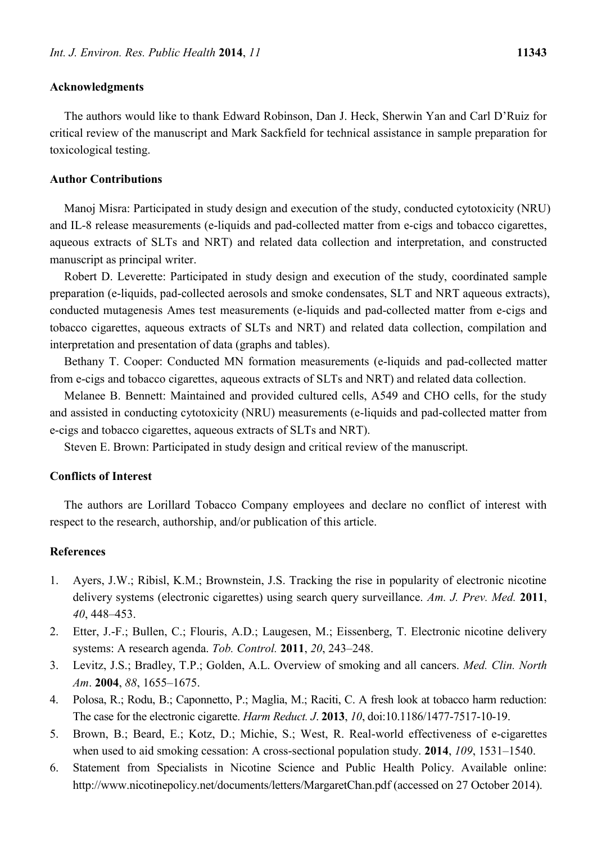## **Acknowledgments**

The authors would like to thank Edward Robinson, Dan J. Heck, Sherwin Yan and Carl D'Ruiz for critical review of the manuscript and Mark Sackfield for technical assistance in sample preparation for toxicological testing.

## **Author Contributions**

Manoj Misra: Participated in study design and execution of the study, conducted cytotoxicity (NRU) and IL-8 release measurements (e-liquids and pad-collected matter from e-cigs and tobacco cigarettes, aqueous extracts of SLTs and NRT) and related data collection and interpretation, and constructed manuscript as principal writer.

Robert D. Leverette: Participated in study design and execution of the study, coordinated sample preparation (e-liquids, pad-collected aerosols and smoke condensates, SLT and NRT aqueous extracts), conducted mutagenesis Ames test measurements (e-liquids and pad-collected matter from e-cigs and tobacco cigarettes, aqueous extracts of SLTs and NRT) and related data collection, compilation and interpretation and presentation of data (graphs and tables).

Bethany T. Cooper: Conducted MN formation measurements (e-liquids and pad-collected matter from e-cigs and tobacco cigarettes, aqueous extracts of SLTs and NRT) and related data collection.

Melanee B. Bennett: Maintained and provided cultured cells, A549 and CHO cells, for the study and assisted in conducting cytotoxicity (NRU) measurements (e-liquids and pad-collected matter from e-cigs and tobacco cigarettes, aqueous extracts of SLTs and NRT).

Steven E. Brown: Participated in study design and critical review of the manuscript.

## **Conflicts of Interest**

The authors are Lorillard Tobacco Company employees and declare no conflict of interest with respect to the research, authorship, and/or publication of this article.

# **References**

- 1. Ayers, J.W.; Ribisl, K.M.; Brownstein, J.S. Tracking the rise in popularity of electronic nicotine delivery systems (electronic cigarettes) using search query surveillance. *Am. J. Prev. Med.* **2011**, *40*, 448–453.
- 2. Etter, J.-F.; Bullen, C.; Flouris, A.D.; Laugesen, M.; Eissenberg, T. Electronic nicotine delivery systems: A research agenda. *Tob. Control.* **2011**, *20*, 243–248.
- 3. Levitz, J.S.; Bradley, T.P.; Golden, A.L. Overview of smoking and all cancers. *Med. Clin. North Am*. **2004**, *88*, 1655–1675.
- 4. Polosa, R.; Rodu, B.; Caponnetto, P.; Maglia, M.; Raciti, C. A fresh look at tobacco harm reduction: The case for the electronic cigarette. *Harm Reduct. J*. **2013**, *10*, doi:10.1186/1477-7517-10-19.
- 5. Brown, B.; Beard, E.; Kotz, D.; Michie, S.; West, R. Real-world effectiveness of e-cigarettes when used to aid smoking cessation: A cross-sectional population study. **2014**, *109*, 1531–1540.
- 6. Statement from Specialists in Nicotine Science and Public Health Policy. Available online: http://www.nicotinepolicy.net/documents/letters/MargaretChan.pdf (accessed on 27 October 2014).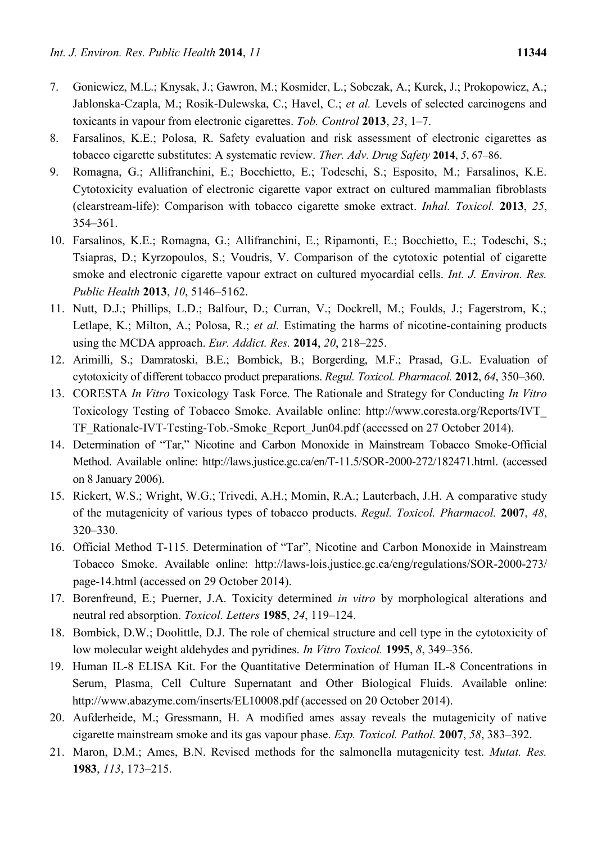- 7. Goniewicz, M.L.; Knysak, J.; Gawron, M.; Kosmider, L.; Sobczak, A.; Kurek, J.; Prokopowicz, A.; Jablonska-Czapla, M.; Rosik-Dulewska, C.; Havel, C.; *et al.* Levels of selected carcinogens and toxicants in vapour from electronic cigarettes. *Tob. Control* **2013**, *23*, 1–7.
- 8. Farsalinos, K.E.; Polosa, R. Safety evaluation and risk assessment of electronic cigarettes as tobacco cigarette substitutes: A systematic review. *Ther. Adv. Drug Safety* **2014**, *5*, 67–86.
- 9. Romagna, G.; Allifranchini, E.; Bocchietto, E.; Todeschi, S.; Esposito, M.; Farsalinos, K.E. Cytotoxicity evaluation of electronic cigarette vapor extract on cultured mammalian fibroblasts (clearstream-life): Comparison with tobacco cigarette smoke extract. *Inhal. Toxicol.* **2013**, *25*, 354–361.
- 10. Farsalinos, K.E.; Romagna, G.; Allifranchini, E.; Ripamonti, E.; Bocchietto, E.; Todeschi, S.; Tsiapras, D.; Kyrzopoulos, S.; Voudris, V. Comparison of the cytotoxic potential of cigarette smoke and electronic cigarette vapour extract on cultured myocardial cells. *Int. J. Environ. Res. Public Health* **2013**, *10*, 5146–5162.
- 11. Nutt, D.J.; Phillips, L.D.; Balfour, D.; Curran, V.; Dockrell, M.; Foulds, J.; Fagerstrom, K.; Letlape, K.; Milton, A.; Polosa, R.; *et al.* Estimating the harms of nicotine-containing products using the MCDA approach. *Eur. Addict. Res.* **2014**, *20*, 218–225.
- 12. Arimilli, S.; Damratoski, B.E.; Bombick, B.; Borgerding, M.F.; Prasad, G.L. Evaluation of cytotoxicity of different tobacco product preparations. *Regul. Toxicol. Pharmacol.* **2012**, *64*, 350–360.
- 13. CORESTA *In Vitro* Toxicology Task Force. The Rationale and Strategy for Conducting *In Vitro* Toxicology Testing of Tobacco Smoke. Available online: http://www.coresta.org/Reports/IVT\_ TF\_Rationale-IVT-Testing-Tob.-Smoke\_Report\_Jun04.pdf (accessed on 27 October 2014).
- 14. Determination of "Tar," Nicotine and Carbon Monoxide in Mainstream Tobacco Smoke-Official Method. Available online: http://laws.justice.gc.ca/en/T-11.5/SOR-2000-272/182471.html. (accessed on 8 January 2006).
- 15. Rickert, W.S.; Wright, W.G.; Trivedi, A.H.; Momin, R.A.; Lauterbach, J.H. A comparative study of the mutagenicity of various types of tobacco products. *Regul. Toxicol. Pharmacol.* **2007**, *48*, 320–330.
- 16. Official Method T-115. Determination of "Tar", Nicotine and Carbon Monoxide in Mainstream Tobacco Smoke. Available online: http://laws-lois.justice.gc.ca/eng/regulations/SOR-2000-273/ page-14.html (accessed on 29 October 2014).
- 17. Borenfreund, E.; Puerner, J.A. Toxicity determined *in vitro* by morphological alterations and neutral red absorption. *Toxicol. Letters* **1985**, *24*, 119–124.
- 18. Bombick, D.W.; Doolittle, D.J. The role of chemical structure and cell type in the cytotoxicity of low molecular weight aldehydes and pyridines. *In Vitro Toxicol.* **1995**, *8*, 349–356.
- 19. Human IL-8 ELISA Kit. For the Quantitative Determination of Human IL-8 Concentrations in Serum, Plasma, Cell Culture Supernatant and Other Biological Fluids. Available online: http://www.abazyme.com/inserts/EL10008.pdf (accessed on 20 October 2014).
- 20. Aufderheide, M.; Gressmann, H. A modified ames assay reveals the mutagenicity of native cigarette mainstream smoke and its gas vapour phase. *Exp. Toxicol. Pathol.* **2007**, *58*, 383–392.
- 21. Maron, D.M.; Ames, B.N. Revised methods for the salmonella mutagenicity test. *Mutat. Res.*  **1983**, *113*, 173–215.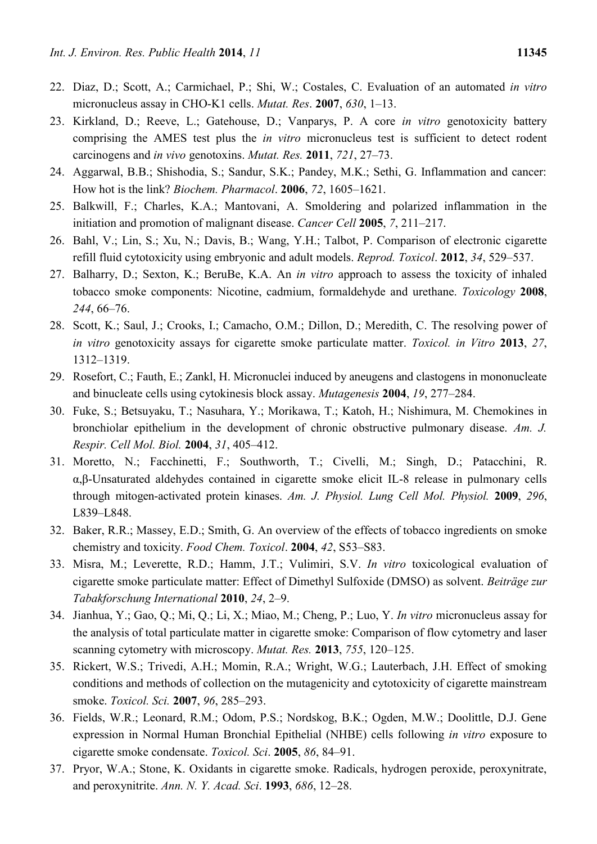- 22. Diaz, D.; Scott, A.; Carmichael, P.; Shi, W.; Costales, C. Evaluation of an automated *in vitro* micronucleus assay in CHO-K1 cells. *Mutat. Res*. **2007**, *630*, 1–13.
- 23. Kirkland, D.; Reeve, L.; Gatehouse, D.; Vanparys, P. A core *in vitro* genotoxicity battery comprising the AMES test plus the *in vitro* micronucleus test is sufficient to detect rodent carcinogens and *in vivo* genotoxins. *Mutat. Res.* **2011**, *721*, 27–73.
- 24. Aggarwal, B.B.; Shishodia, S.; Sandur, S.K.; Pandey, M.K.; Sethi, G. Inflammation and cancer: How hot is the link? *Biochem. Pharmacol*. **2006**, *72*, 1605–1621.
- 25. Balkwill, F.; Charles, K.A.; Mantovani, A. Smoldering and polarized inflammation in the initiation and promotion of malignant disease. *Cancer Cell* **2005**, *7*, 211–217.
- 26. Bahl, V.; Lin, S.; Xu, N.; Davis, B.; Wang, Y.H.; Talbot, P. Comparison of electronic cigarette refill fluid cytotoxicity using embryonic and adult models. *Reprod. Toxicol*. **2012**, *34*, 529–537.
- 27. Balharry, D.; Sexton, K.; BeruBe, K.A. An *in vitro* approach to assess the toxicity of inhaled tobacco smoke components: Nicotine, cadmium, formaldehyde and urethane. *Toxicology* **2008**, *244*, 66–76.
- 28. Scott, K.; Saul, J.; Crooks, I.; Camacho, O.M.; Dillon, D.; Meredith, C. The resolving power of *in vitro* genotoxicity assays for cigarette smoke particulate matter. *Toxicol. in Vitro* **2013**, *27*, 1312–1319.
- 29. Rosefort, C.; Fauth, E.; Zankl, H. Micronuclei induced by aneugens and clastogens in mononucleate and binucleate cells using cytokinesis block assay. *Mutagenesis* **2004**, *19*, 277–284.
- 30. Fuke, S.; Betsuyaku, T.; Nasuhara, Y.; Morikawa, T.; Katoh, H.; Nishimura, M. Chemokines in bronchiolar epithelium in the development of chronic obstructive pulmonary disease. *Am. J. Respir. Cell Mol. Biol.* **2004**, *31*, 405–412.
- 31. Moretto, N.; Facchinetti, F.; Southworth, T.; Civelli, M.; Singh, D.; Patacchini, R. α,β-Unsaturated aldehydes contained in cigarette smoke elicit IL-8 release in pulmonary cells through mitogen-activated protein kinases. *Am. J. Physiol. Lung Cell Mol. Physiol.* **2009**, *296*, L839–L848.
- 32. Baker, R.R.; Massey, E.D.; Smith, G. An overview of the effects of tobacco ingredients on smoke chemistry and toxicity. *Food Chem. Toxicol*. **2004**, *42*, S53–S83.
- 33. Misra, M.; Leverette, R.D.; Hamm, J.T.; Vulimiri, S.V. *In vitro* toxicological evaluation of cigarette smoke particulate matter: Effect of Dimethyl Sulfoxide (DMSO) as solvent. *Beiträge zur Tabakforschung International* **2010**, *24*, 2–9.
- 34. Jianhua, Y.; Gao, Q.; Mi, Q.; Li, X.; Miao, M.; Cheng, P.; Luo, Y. *In vitro* micronucleus assay for the analysis of total particulate matter in cigarette smoke: Comparison of flow cytometry and laser scanning cytometry with microscopy. *Mutat. Res.* **2013**, *755*, 120–125.
- 35. Rickert, W.S.; Trivedi, A.H.; Momin, R.A.; Wright, W.G.; Lauterbach, J.H. Effect of smoking conditions and methods of collection on the mutagenicity and cytotoxicity of cigarette mainstream smoke. *Toxicol. Sci.* **2007**, *96*, 285–293.
- 36. Fields, W.R.; Leonard, R.M.; Odom, P.S.; Nordskog, B.K.; Ogden, M.W.; Doolittle, D.J. Gene expression in Normal Human Bronchial Epithelial (NHBE) cells following *in vitro* exposure to cigarette smoke condensate. *Toxicol. Sci*. **2005**, *86*, 84–91.
- 37. Pryor, W.A.; Stone, K. Oxidants in cigarette smoke. Radicals, hydrogen peroxide, peroxynitrate, and peroxynitrite. *Ann. N. Y. Acad. Sci*. **1993**, *686*, 12–28.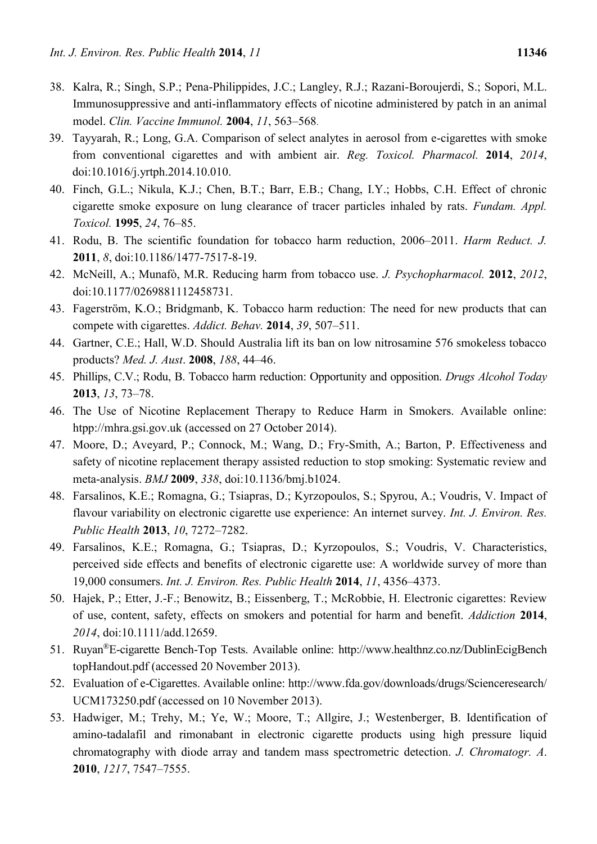- 38. Kalra, R.; Singh, S.P.; Pena-Philippides, J.C.; Langley, R.J.; Razani-Boroujerdi, S.; Sopori, M.L. Immunosuppressive and anti-inflammatory effects of nicotine administered by patch in an animal model. *Clin. Vaccine Immunol.* **2004**, *11*, 563–568.
- 39. Tayyarah, R.; Long, G.A. Comparison of select analytes in aerosol from e-cigarettes with smoke from conventional cigarettes and with ambient air. *Reg. Toxicol. Pharmacol.* **2014**, *2014*, doi:10.1016/j.yrtph.2014.10.010.
- 40. Finch, G.L.; Nikula, K.J.; Chen, B.T.; Barr, E.B.; Chang, I.Y.; Hobbs, C.H. Effect of chronic cigarette smoke exposure on lung clearance of tracer particles inhaled by rats. *Fundam. Appl. Toxicol.* **1995**, *24*, 76–85.
- 41. Rodu, B. The scientific foundation for tobacco harm reduction, 2006–2011. *Harm Reduct. J.*  **2011**, *8*, doi:10.1186/1477-7517-8-19.
- 42. McNeill, A.; Munafò, M.R. Reducing harm from tobacco use. *J. Psychopharmacol.* **2012**, *2012*, doi:10.1177/0269881112458731.
- 43. Fagerström, K.O.; Bridgmanb, K. Tobacco harm reduction: The need for new products that can compete with cigarettes. *Addict. Behav.* **2014**, *39*, 507–511.
- 44. Gartner, C.E.; Hall, W.D. Should Australia lift its ban on low nitrosamine 576 smokeless tobacco products? *Med. J. Aust*. **2008**, *188*, 44–46.
- 45. Phillips, C.V.; Rodu, B. Tobacco harm reduction: Opportunity and opposition. *Drugs Alcohol Today* **2013**, *13*, 73–78.
- 46. The Use of Nicotine Replacement Therapy to Reduce Harm in Smokers. Available online: htpp://mhra.gsi.gov.uk (accessed on 27 October 2014).
- 47. Moore, D.; Aveyard, P.; Connock, M.; Wang, D.; Fry-Smith, A.; Barton, P. Effectiveness and safety of nicotine replacement therapy assisted reduction to stop smoking: Systematic review and meta-analysis. *BMJ* **2009**, *338*, doi:10.1136/bmj.b1024.
- 48. Farsalinos, K.E.; Romagna, G.; Tsiapras, D.; Kyrzopoulos, S.; Spyrou, A.; Voudris, V. Impact of flavour variability on electronic cigarette use experience: An internet survey. *Int. J. Environ. Res. Public Health* **2013**, *10*, 7272–7282.
- 49. Farsalinos, K.E.; Romagna, G.; Tsiapras, D.; Kyrzopoulos, S.; Voudris, V. Characteristics, perceived side effects and benefits of electronic cigarette use: A worldwide survey of more than 19,000 consumers. *Int. J. Environ. Res. Public Health* **2014**, *11*, 4356–4373.
- 50. Hajek, P.; Etter, J.-F.; Benowitz, B.; Eissenberg, T.; McRobbie, H. Electronic cigarettes: Review of use, content, safety, effects on smokers and potential for harm and benefit. *Addiction* **2014**, *2014*, doi:10.1111/add.12659.
- 51. Ruyan®E-cigarette Bench-Top Tests. Available online: http://www.healthnz.co.nz/DublinEcigBench topHandout.pdf (accessed 20 November 2013).
- 52. Evaluation of e-Cigarettes. Available online: http://www.fda.gov/downloads/drugs/Scienceresearch/ UCM173250.pdf (accessed on 10 November 2013).
- 53. Hadwiger, M.; Trehy, M.; Ye, W.; Moore, T.; Allgire, J.; Westenberger, B. Identification of amino-tadalafil and rimonabant in electronic cigarette products using high pressure liquid chromatography with diode array and tandem mass spectrometric detection. *J. Chromatogr. A*. **2010**, *1217*, 7547–7555.